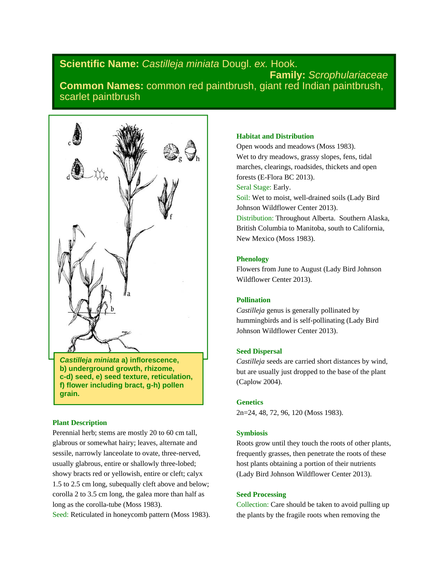# **Scientific Name:** *Castilleja miniata* Dougl. *ex.* Hook. **Family:** *Scrophulariaceae*  **Common Names:** common red paintbrush, giant red Indian paintbrush, scarlet paintbrush



*Castilleja miniata* **a) inflorescence, b) underground growth, rhizome, c-d) seed, e) seed texture, reticulation, f) flower including bract, g-h) pollen grain.** 

#### **Plant Description**

Perennial herb; stems are mostly 20 to 60 cm tall, glabrous or somewhat hairy; leaves, alternate and sessile, narrowly lanceolate to ovate, three-nerved, usually glabrous, entire or shallowly three-lobed; showy bracts red or yellowish, entire or cleft; calyx 1.5 to 2.5 cm long, subequally cleft above and below; corolla 2 to 3.5 cm long, the galea more than half as long as the corolla-tube (Moss 1983).

Seed: Reticulated in honeycomb pattern (Moss 1983).

#### **Habitat and Distribution**

Open woods and meadows (Moss 1983). Wet to dry meadows, grassy slopes, fens, tidal marches, clearings, roadsides, thickets and open forests (E-Flora BC 2013). Seral Stage: Early. Soil: Wet to moist, well-drained soils (Lady Bird Johnson Wildflower Center 2013). Distribution: Throughout Alberta. Southern Alaska, British Columbia to Manitoba, south to California, New Mexico (Moss 1983).

#### **Phenology**

Flowers from June to August (Lady Bird Johnson Wildflower Center 2013).

### **Pollination**

*Castilleja* genus is generally pollinated by hummingbirds and is self-pollinating (Lady Bird Johnson Wildflower Center 2013).

#### **Seed Dispersal**

*Castilleja* seeds are carried short distances by wind, but are usually just dropped to the base of the plant (Caplow 2004).

#### **Genetics**

2n=24, 48, 72, 96, 120 (Moss 1983).

#### **Symbiosis**

Roots grow until they touch the roots of other plants, frequently grasses, then penetrate the roots of these host plants obtaining a portion of their nutrients (Lady Bird Johnson Wildflower Center 2013).

#### **Seed Processing**

Collection: Care should be taken to avoid pulling up the plants by the fragile roots when removing the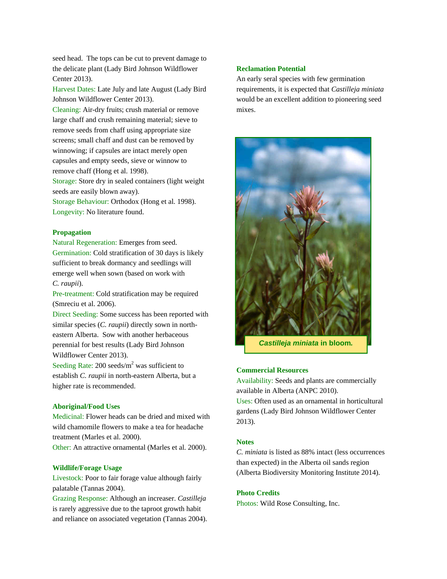seed head. The tops can be cut to prevent damage to the delicate plant (Lady Bird Johnson Wildflower Center 2013).

Harvest Dates: Late July and late August (Lady Bird Johnson Wildflower Center 2013).

Cleaning: Air-dry fruits; crush material or remove large chaff and crush remaining material; sieve to remove seeds from chaff using appropriate size screens; small chaff and dust can be removed by winnowing; if capsules are intact merely open capsules and empty seeds, sieve or winnow to remove chaff (Hong et al. 1998).

Storage: Store dry in sealed containers (light weight seeds are easily blown away).

Storage Behaviour: Orthodox (Hong et al. 1998). Longevity: No literature found.

#### **Propagation**

Natural Regeneration: Emerges from seed. Germination: Cold stratification of 30 days is likely sufficient to break dormancy and seedlings will emerge well when sown (based on work with *C. raupii*).

Pre-treatment: Cold stratification may be required (Smreciu et al. 2006).

Direct Seeding: Some success has been reported with similar species (*C. raupii*) directly sown in northeastern Alberta. Sow with another herbaceous perennial for best results (Lady Bird Johnson Wildflower Center 2013).

Seeding Rate: 200 seeds/ $m<sup>2</sup>$  was sufficient to establish *C. raupii* in north-eastern Alberta, but a higher rate is recommended.

#### **Aboriginal/Food Uses**

Medicinal: Flower heads can be dried and mixed with wild chamomile flowers to make a tea for headache treatment (Marles et al. 2000). Other: An attractive ornamental (Marles et al. 2000).

## **Wildlife/Forage Usage**

Livestock: Poor to fair forage value although fairly palatable (Tannas 2004).

Grazing Response: Although an increaser. *Castilleja* is rarely aggressive due to the taproot growth habit and reliance on associated vegetation (Tannas 2004).

### **Reclamation Potential**

An early seral species with few germination requirements, it is expected that *Castilleja miniata* would be an excellent addition to pioneering seed mixes.



#### **Commercial Resources**

Availability: Seeds and plants are commercially available in Alberta (ANPC 2010).

Uses: Often used as an ornamental in horticultural gardens (Lady Bird Johnson Wildflower Center 2013).

#### **Notes**

*C. miniata* is listed as 88% intact (less occurrences than expected) in the Alberta oil sands region (Alberta Biodiversity Monitoring Institute 2014).

#### **Photo Credits**

Photos: Wild Rose Consulting, Inc.